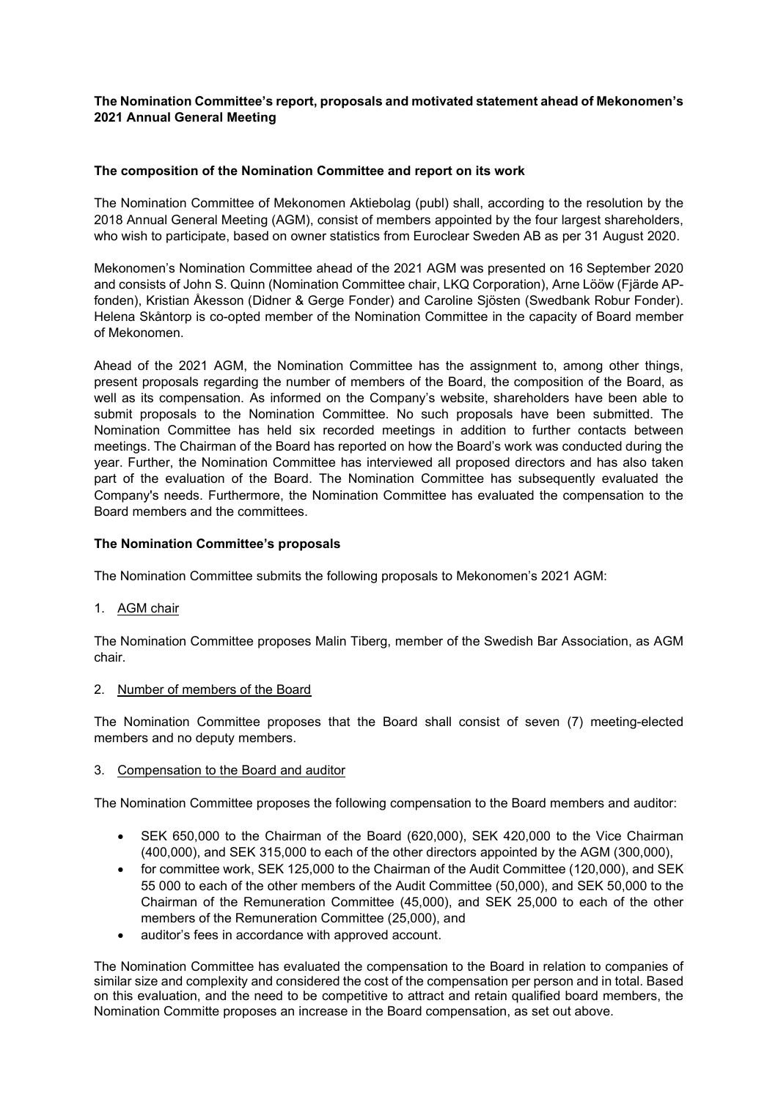# **The Nomination Committee's report, proposals and motivated statement ahead of Mekonomen's 2021 Annual General Meeting**

## **The composition of the Nomination Committee and report on its work**

The Nomination Committee of Mekonomen Aktiebolag (publ) shall, according to the resolution by the 2018 Annual General Meeting (AGM), consist of members appointed by the four largest shareholders, who wish to participate, based on owner statistics from Euroclear Sweden AB as per 31 August 2020.

Mekonomen's Nomination Committee ahead of the 2021 AGM was presented on 16 September 2020 and consists of John S. Quinn (Nomination Committee chair, LKQ Corporation), Arne Lööw (Fjärde APfonden), Kristian Åkesson (Didner & Gerge Fonder) and Caroline Sjösten (Swedbank Robur Fonder). Helena Skåntorp is co-opted member of the Nomination Committee in the capacity of Board member of Mekonomen.

Ahead of the 2021 AGM, the Nomination Committee has the assignment to, among other things, present proposals regarding the number of members of the Board, the composition of the Board, as well as its compensation. As informed on the Company's website, shareholders have been able to submit proposals to the Nomination Committee. No such proposals have been submitted. The Nomination Committee has held six recorded meetings in addition to further contacts between meetings. The Chairman of the Board has reported on how the Board's work was conducted during the year. Further, the Nomination Committee has interviewed all proposed directors and has also taken part of the evaluation of the Board. The Nomination Committee has subsequently evaluated the Company's needs. Furthermore, the Nomination Committee has evaluated the compensation to the Board members and the committees.

### **The Nomination Committee's proposals**

The Nomination Committee submits the following proposals to Mekonomen's 2021 AGM:

1. AGM chair

The Nomination Committee proposes Malin Tiberg, member of the Swedish Bar Association, as AGM chair.

2. Number of members of the Board

The Nomination Committee proposes that the Board shall consist of seven (7) meeting-elected members and no deputy members.

### 3. Compensation to the Board and auditor

The Nomination Committee proposes the following compensation to the Board members and auditor:

- SEK 650,000 to the Chairman of the Board (620,000), SEK 420,000 to the Vice Chairman (400,000), and SEK 315,000 to each of the other directors appointed by the AGM (300,000),
- for committee work, SEK 125,000 to the Chairman of the Audit Committee (120,000), and SEK 55 000 to each of the other members of the Audit Committee (50,000), and SEK 50,000 to the Chairman of the Remuneration Committee (45,000), and SEK 25,000 to each of the other members of the Remuneration Committee (25,000), and
- auditor's fees in accordance with approved account.

The Nomination Committee has evaluated the compensation to the Board in relation to companies of similar size and complexity and considered the cost of the compensation per person and in total. Based on this evaluation, and the need to be competitive to attract and retain qualified board members, the Nomination Committe proposes an increase in the Board compensation, as set out above.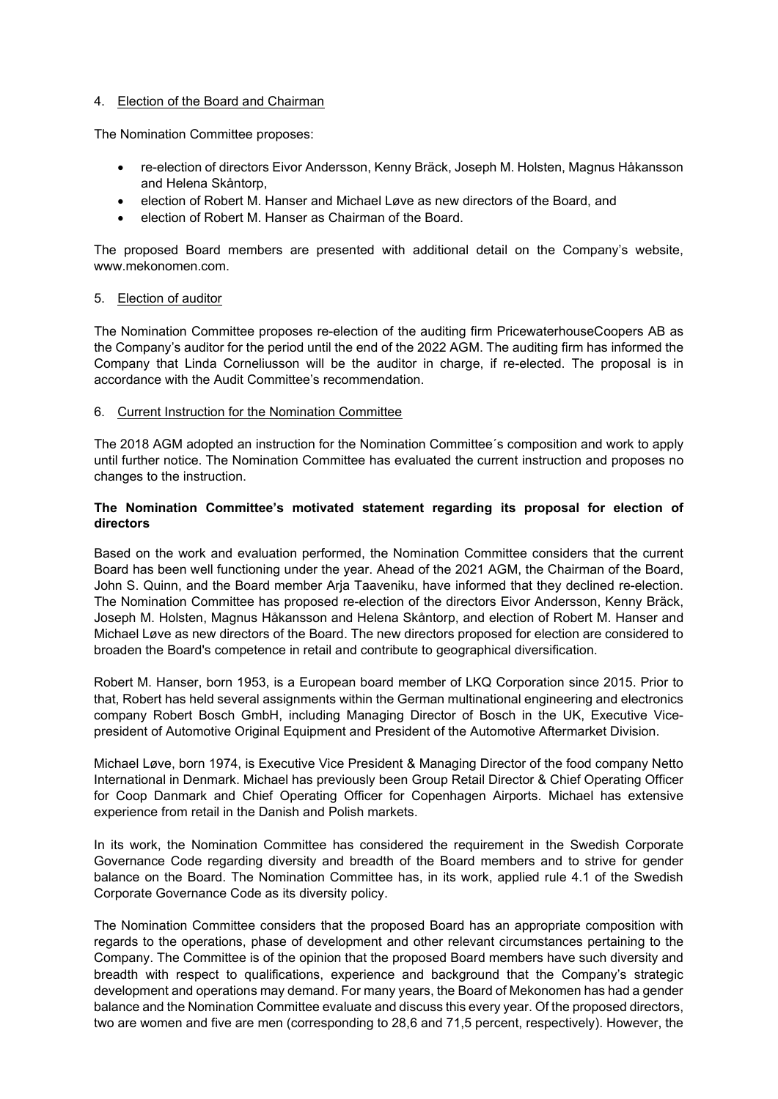## 4. Election of the Board and Chairman

The Nomination Committee proposes:

- re-election of directors Eivor Andersson, Kenny Bräck, Joseph M. Holsten, Magnus Håkansson and Helena Skåntorp,
- election of Robert M. Hanser and Michael Løve as new directors of the Board, and
- election of Robert M. Hanser as Chairman of the Board.

The proposed Board members are presented with additional detail on the Company's website, www.mekonomen.com.

### 5. Election of auditor

The Nomination Committee proposes re-election of the auditing firm PricewaterhouseCoopers AB as the Company's auditor for the period until the end of the 2022 AGM. The auditing firm has informed the Company that Linda Corneliusson will be the auditor in charge, if re-elected. The proposal is in accordance with the Audit Committee's recommendation.

### 6. Current Instruction for the Nomination Committee

The 2018 AGM adopted an instruction for the Nomination Committee´s composition and work to apply until further notice. The Nomination Committee has evaluated the current instruction and proposes no changes to the instruction.

# **The Nomination Committee's motivated statement regarding its proposal for election of directors**

Based on the work and evaluation performed, the Nomination Committee considers that the current Board has been well functioning under the year. Ahead of the 2021 AGM, the Chairman of the Board, John S. Quinn, and the Board member Arja Taaveniku, have informed that they declined re-election. The Nomination Committee has proposed re-election of the directors Eivor Andersson, Kenny Bräck, Joseph M. Holsten, Magnus Håkansson and Helena Skåntorp, and election of Robert M. Hanser and Michael Løve as new directors of the Board. The new directors proposed for election are considered to broaden the Board's competence in retail and contribute to geographical diversification.

Robert M. Hanser, born 1953, is a European board member of LKQ Corporation since 2015. Prior to that, Robert has held several assignments within the German multinational engineering and electronics company Robert Bosch GmbH, including Managing Director of Bosch in the UK, Executive Vicepresident of Automotive Original Equipment and President of the Automotive Aftermarket Division.

Michael Løve, born 1974, is Executive Vice President & Managing Director of the food company Netto International in Denmark. Michael has previously been Group Retail Director & Chief Operating Officer for Coop Danmark and Chief Operating Officer for Copenhagen Airports. Michael has extensive experience from retail in the Danish and Polish markets.

In its work, the Nomination Committee has considered the requirement in the Swedish Corporate Governance Code regarding diversity and breadth of the Board members and to strive for gender balance on the Board. The Nomination Committee has, in its work, applied rule 4.1 of the Swedish Corporate Governance Code as its diversity policy.

The Nomination Committee considers that the proposed Board has an appropriate composition with regards to the operations, phase of development and other relevant circumstances pertaining to the Company. The Committee is of the opinion that the proposed Board members have such diversity and breadth with respect to qualifications, experience and background that the Company's strategic development and operations may demand. For many years, the Board of Mekonomen has had a gender balance and the Nomination Committee evaluate and discuss this every year. Of the proposed directors, two are women and five are men (corresponding to 28,6 and 71,5 percent, respectively). However, the